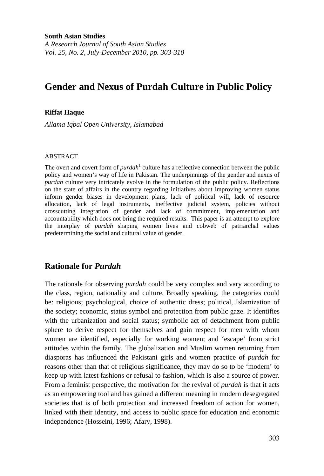**South Asian Studies** 

*A Research Journal of South Asian Studies Vol. 25, No. 2, July-December 2010, pp. 303-310* 

# **Gender and Nexus of Purdah Culture in Public Policy**

#### **Riffat Haque**

*Allama Iqbal Open University, Islamabad* 

#### ABSTRACT

The overt and covert form of *purdah*<sup>1</sup> culture has a reflective connection between the public policy and women's way of life in Pakistan. The underpinnings of the gender and nexus of *purdah* culture very intricately evolve in the formulation of the public policy. Reflections on the state of affairs in the country regarding initiatives about improving women status inform gender biases in development plans, lack of political will, lack of resource allocation, lack of legal instruments, ineffective judicial system, policies without crosscutting integration of gender and lack of commitment, implementation and accountability which does not bring the required results. This paper is an attempt to explore the interplay of *purdah* shaping women lives and cobweb of patriarchal values predetermining the social and cultural value of gender.

# **Rationale for** *Purdah*

The rationale for observing *purdah* could be very complex and vary according to the class, region, nationality and culture. Broadly speaking, the categories could be: religious; psychological, choice of authentic dress; political, Islamization of the society; economic, status symbol and protection from public gaze. It identifies with the urbanization and social status; symbolic act of detachment from public sphere to derive respect for themselves and gain respect for men with whom women are identified, especially for working women; and 'escape' from strict attitudes within the family. The globalization and Muslim women returning from diasporas has influenced the Pakistani girls and women practice of *purdah* for reasons other than that of religious significance, they may do so to be 'modern' to keep up with latest fashions or refusal to fashion, which is also a source of power. From a feminist perspective, the motivation for the revival of *purdah* is that it acts as an empowering tool and has gained a different meaning in modern desegregated societies that is of both protection and increased freedom of action for women, linked with their identity, and access to public space for education and economic independence (Hosseini, 1996; Afary, 1998).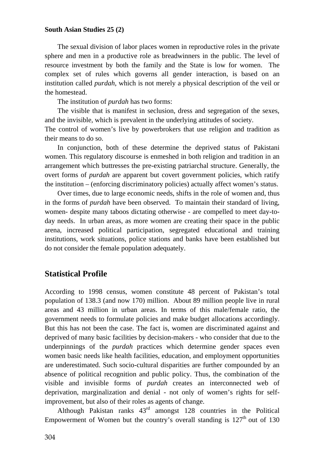The sexual division of labor places women in reproductive roles in the private sphere and men in a productive role as breadwinners in the public. The level of resource investment by both the family and the State is low for women. The complex set of rules which governs all gender interaction, is based on an institution called *purdah*, which is not merely a physical description of the veil or the homestead.

The institution of *purdah* has two forms:

The visible that is manifest in seclusion, dress and segregation of the sexes, and the invisible, which is prevalent in the underlying attitudes of society.

The control of women's live by powerbrokers that use religion and tradition as their means to do so.

In conjunction, both of these determine the deprived status of Pakistani women. This regulatory discourse is enmeshed in both religion and tradition in an arrangement which buttresses the pre-existing patriarchal structure. Generally, the overt forms of *purdah* are apparent but covert government policies, which ratify the institution – (enforcing discriminatory policies) actually affect women's status.

Over times, due to large economic needs, shifts in the role of women and, thus in the forms of *purdah* have been observed. To maintain their standard of living, women- despite many taboos dictating otherwise - are compelled to meet day-today needs. In urban areas, as more women are creating their space in the public arena, increased political participation, segregated educational and training institutions, work situations, police stations and banks have been established but do not consider the female population adequately.

# **Statistical Profile**

According to 1998 census, women constitute 48 percent of Pakistan's total population of 138.3 (and now 170) million. About 89 million people live in rural areas and 43 million in urban areas. In terms of this male/female ratio, the government needs to formulate policies and make budget allocations accordingly. But this has not been the case. The fact is, women are discriminated against and deprived of many basic facilities by decision-makers - who consider that due to the underpinnings of the *purdah* practices which determine gender spaces even women basic needs like health facilities, education, and employment opportunities are underestimated. Such socio-cultural disparities are further compounded by an absence of political recognition and public policy. Thus, the combination of the visible and invisible forms of *purdah* creates an interconnected web of deprivation, marginalization and denial - not only of women's rights for selfimprovement, but also of their roles as agents of change.

Although Pakistan ranks  $43<sup>rd</sup>$  amongst 128 countries in the Political Empowerment of Women but the country's overall standing is  $127<sup>th</sup>$  out of 130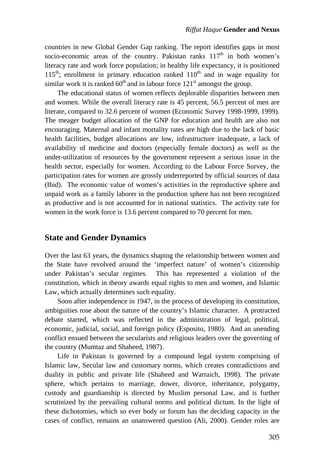countries in new Global Gender Gap ranking. The report identifies gaps in most socio-economic areas of the country. Pakistan ranks  $117<sup>th</sup>$  in both women's literacy rate and work force population; in healthy life expectancy, it is positioned  $115<sup>th</sup>$ ; enrollment in primary education ranked  $110<sup>th</sup>$  and in wage equality for similar work it is ranked  $60<sup>th</sup>$  and in labour force  $121<sup>st</sup>$  amongst the group.

The educational status of women reflects deplorable disparities between men and women. While the overall literacy rate is 45 percent, 56.5 percent of men are literate, compared to 32.6 percent of women (Economic Survey 1998-1999, 1999). The meager budget allocation of the GNP for education and health are also not encouraging. Maternal and infant mortality rates are high due to the lack of basic health facilities, budget allocations are low, infrastructure inadequate, a lack of availability of medicine and doctors (especially female doctors) as well as the under-utilization of resources by the government represent a serious issue in the health sector, especially for women. According to the Labour Force Survey, the participation rates for women are grossly underreported by official sources of data (Ibid). The economic value of women's activities in the reproductive sphere and unpaid work as a family laborer in the production sphere has not been recognized as productive and is not accounted for in national statistics. The activity rate for women in the work force is 13.6 percent compared to 70 percent for men.

# **State and Gender Dynamics**

Over the last 63 years, the dynamics shaping the relationship between women and the State have revolved around the 'imperfect nature' of women's citizenship under Pakistan's secular regimes. This has represented a violation of the constitution, which in theory awards equal rights to men and women, and Islamic Law, which actually determines such equality.

Soon after independence in 1947, in the process of developing its constitution, ambiguities rose about the nature of the country's Islamic character. A protracted debate started, which was reflected in the administration of legal, political, economic, judicial, social, and foreign policy (Esposito, 1980). And an unending conflict ensued between the secularists and religious leaders over the governing of the country (Mumtaz and Shaheed, 1987).

Life in Pakistan is governed by a compound legal system comprising of Islamic law, Secular law and customary norms, which creates contradictions and duality in public and private life (Shaheed and Warraich, 1998). The private sphere, which pertains to marriage, dower, divorce, inheritance, polygamy, custody and guardianship is directed by Muslim personal Law, and is further scrutinized by the prevailing cultural norms and political dictum. In the light of these dichotomies, which so ever body or forum has the deciding capacity in the cases of conflict, remains an unanswered question (Ali, 2000). Gender roles are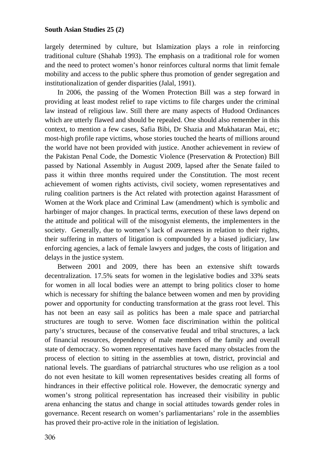largely determined by culture, but Islamization plays a role in reinforcing traditional culture (Shahab 1993). The emphasis on a traditional role for women and the need to protect women's honor reinforces cultural norms that limit female mobility and access to the public sphere thus promotion of gender segregation and institutionalization of gender disparities (Jalal, 1991).

In 2006, the passing of the Women Protection Bill was a step forward in providing at least modest relief to rape victims to file charges under the criminal law instead of religious law. Still there are many aspects of Hudood Ordinances which are utterly flawed and should be repealed. One should also remember in this context, to mention a few cases, Safia Bibi, Dr Shazia and Mukhataran Mai, etc; most-high profile rape victims, whose stories touched the hearts of millions around the world have not been provided with justice. Another achievement in review of the Pakistan Penal Code, the Domestic Violence (Preservation & Protection) Bill passed by National Assembly in August 2009, lapsed after the Senate failed to pass it within three months required under the Constitution. The most recent achievement of women rights activists, civil society, women representatives and ruling coalition partners is the Act related with protection against Harassment of Women at the Work place and Criminal Law (amendment) which is symbolic and harbinger of major changes. In practical terms, execution of these laws depend on the attitude and political will of the misogynist elements, the implementers in the society. Generally, due to women's lack of awareness in relation to their rights, their suffering in matters of litigation is compounded by a biased judiciary, law enforcing agencies, a lack of female lawyers and judges, the costs of litigation and delays in the justice system.

Between 2001 and 2009, there has been an extensive shift towards decentralization. 17.5% seats for women in the legislative bodies and 33% seats for women in all local bodies were an attempt to bring politics closer to home which is necessary for shifting the balance between women and men by providing power and opportunity for conducting transformation at the grass root level. This has not been an easy sail as politics has been a male space and patriarchal structures are tough to serve. Women face discrimination within the political party's structures, because of the conservative feudal and tribal structures, a lack of financial resources, dependency of male members of the family and overall state of democracy. So women representatives have faced many obstacles from the process of election to sitting in the assemblies at town, district, provincial and national levels. The guardians of patriarchal structures who use religion as a tool do not even hesitate to kill women representatives besides creating all forms of hindrances in their effective political role. However, the democratic synergy and women's strong political representation has increased their visibility in public arena enhancing the status and change in social attitudes towards gender roles in governance. Recent research on women's parliamentarians' role in the assemblies has proved their pro-active role in the initiation of legislation.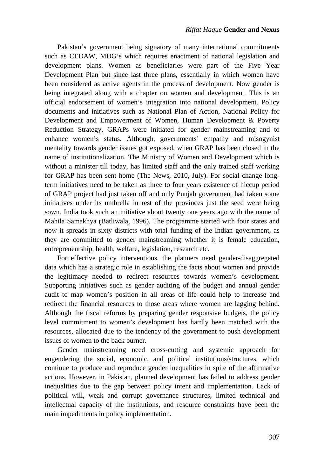Pakistan's government being signatory of many international commitments such as CEDAW, MDG's which requires enactment of national legislation and development plans. Women as beneficiaries were part of the Five Year Development Plan but since last three plans, essentially in which women have been considered as active agents in the process of development. Now gender is being integrated along with a chapter on women and development. This is an official endorsement of women's integration into national development. Policy documents and initiatives such as National Plan of Action, National Policy for Development and Empowerment of Women, Human Development & Poverty Reduction Strategy, GRAPs were initiated for gender mainstreaming and to enhance women's status. Although, governments' empathy and misogynist mentality towards gender issues got exposed, when GRAP has been closed in the name of institutionalization. The Ministry of Women and Development which is without a minister till today, has limited staff and the only trained staff working for GRAP has been sent home (The News, 2010, July). For social change longterm initiatives need to be taken as three to four years existence of hiccup period of GRAP project had just taken off and only Punjab government had taken some initiatives under its umbrella in rest of the provinces just the seed were being sown. India took such an initiative about twenty one years ago with the name of Mahila Samakhya (Batliwala, 1996). The programme started with four states and now it spreads in sixty districts with total funding of the Indian government, as they are committed to gender mainstreaming whether it is female education, entrepreneurship, health, welfare, legislation, research etc.

For effective policy interventions, the planners need gender-disaggregated data which has a strategic role in establishing the facts about women and provide the legitimacy needed to redirect resources towards women's development. Supporting initiatives such as gender auditing of the budget and annual gender audit to map women's position in all areas of life could help to increase and redirect the financial resources to those areas where women are lagging behind. Although the fiscal reforms by preparing gender responsive budgets, the policy level commitment to women's development has hardly been matched with the resources, allocated due to the tendency of the government to push development issues of women to the back burner.

Gender mainstreaming need cross-cutting and systemic approach for engendering the social, economic, and political institutions/structures, which continue to produce and reproduce gender inequalities in spite of the affirmative actions. However, in Pakistan, planned development has failed to address gender inequalities due to the gap between policy intent and implementation. Lack of political will, weak and corrupt governance structures, limited technical and intellectual capacity of the institutions, and resource constraints have been the main impediments in policy implementation.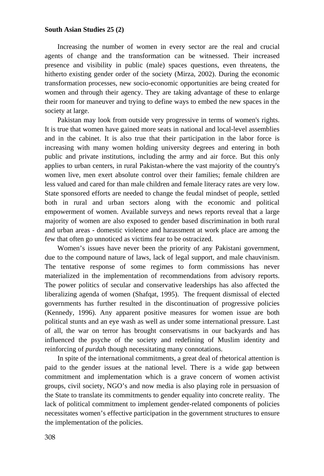Increasing the number of women in every sector are the real and crucial agents of change and the transformation can be witnessed. Their increased presence and visibility in public (male) spaces questions, even threatens, the hitherto existing gender order of the society (Mirza, 2002). During the economic transformation processes, new socio-economic opportunities are being created for women and through their agency. They are taking advantage of these to enlarge their room for maneuver and trying to define ways to embed the new spaces in the society at large.

Pakistan may look from outside very progressive in terms of women's rights. It is true that women have gained more seats in national and local-level assemblies and in the cabinet. It is also true that their participation in the labor force is increasing with many women holding university degrees and entering in both public and private institutions, including the army and air force. But this only applies to urban centers, in rural Pakistan-where the vast majority of the country's women live, men exert absolute control over their families; female children are less valued and cared for than male children and female literacy rates are very low. State sponsored efforts are needed to change the feudal mindset of people, settled both in rural and urban sectors along with the economic and political empowerment of women. Available surveys and news reports reveal that a large majority of women are also exposed to gender based discrimination in both rural and urban areas - domestic violence and harassment at work place are among the few that often go unnoticed as victims fear to be ostracized.

Women's issues have never been the priority of any Pakistani government, due to the compound nature of laws, lack of legal support, and male chauvinism. The tentative response of some regimes to form commissions has never materialized in the implementation of recommendations from advisory reports. The power politics of secular and conservative leaderships has also affected the liberalizing agenda of women (Shafqat, 1995). The frequent dismissal of elected governments has further resulted in the discontinuation of progressive policies (Kennedy, 1996). Any apparent positive measures for women issue are both political stunts and an eye wash as well as under some international pressure. Last of all, the war on terror has brought conservatisms in our backyards and has influenced the psyche of the society and redefining of Muslim identity and reinforcing of *purdah* though necessitating many connotations.

In spite of the international commitments, a great deal of rhetorical attention is paid to the gender issues at the national level. There is a wide gap between commitment and implementation which is a grave concern of women activist groups, civil society, NGO's and now media is also playing role in persuasion of the State to translate its commitments to gender equality into concrete reality. The lack of political commitment to implement gender-related components of policies necessitates women's effective participation in the government structures to ensure the implementation of the policies.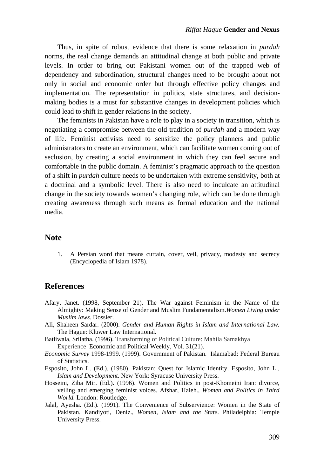Thus, in spite of robust evidence that there is some relaxation in *purdah* norms, the real change demands an attitudinal change at both public and private levels. In order to bring out Pakistani women out of the trapped web of dependency and subordination, structural changes need to be brought about not only in social and economic order but through effective policy changes and implementation. The representation in politics, state structures, and decisionmaking bodies is a must for substantive changes in development policies which could lead to shift in gender relations in the society.

The feminists in Pakistan have a role to play in a society in transition, which is negotiating a compromise between the old tradition of *purdah* and a modern way of life. Feminist activists need to sensitize the policy planners and public administrators to create an environment, which can facilitate women coming out of seclusion, by creating a social environment in which they can feel secure and comfortable in the public domain. A feminist's pragmatic approach to the question of a shift in *purdah* culture needs to be undertaken with extreme sensitivity, both at a doctrinal and a symbolic level. There is also need to inculcate an attitudinal change in the society towards women's changing role, which can be done through creating awareness through such means as formal education and the national media.

### **Note**

1. A Persian word that means curtain, cover, veil, privacy, modesty and secrecy (Encyclopedia of Islam 1978).

### **References**

- Afary, Janet. (1998, September 21). The War against Feminism in the Name of the Almighty: Making Sense of Gender and Muslim Fundamentalism.*Women Living under Muslim laws.* Dossier.
- Ali, Shaheen Sardar. (2000). *Gender and Human Rights in Islam and International Law.* The Hague: Kluwer Law International.
- Batliwala, Srilatha. (1996). Transforming of Political Culture: Mahila Samakhya Experience Economic and Political Weekly, Vol. 31(21).
- *Economic Survey* 1998-1999. (1999). Government of Pakistan. Islamabad: Federal Bureau of Statistics.
- Esposito, John L. (Ed.). (1980). Pakistan: Quest for Islamic Identity. Esposito, John L., *Islam and Development.* New York: Syracuse University Press.
- Hosseini, Ziba Mir. (Ed.). (1996). Women and Politics in post-Khomeini Iran: divorce, veiling and emerging feminist voices. Afshar, Haleh., *Women and Politics in Third World.* London: Routledge.
- Jalal, Ayesha. (Ed.). (1991). The Convenience of Subservience: Women in the State of Pakistan. Kandiyoti, Deniz., *Women, Islam and the State*. Philadelphia: Temple University Press.